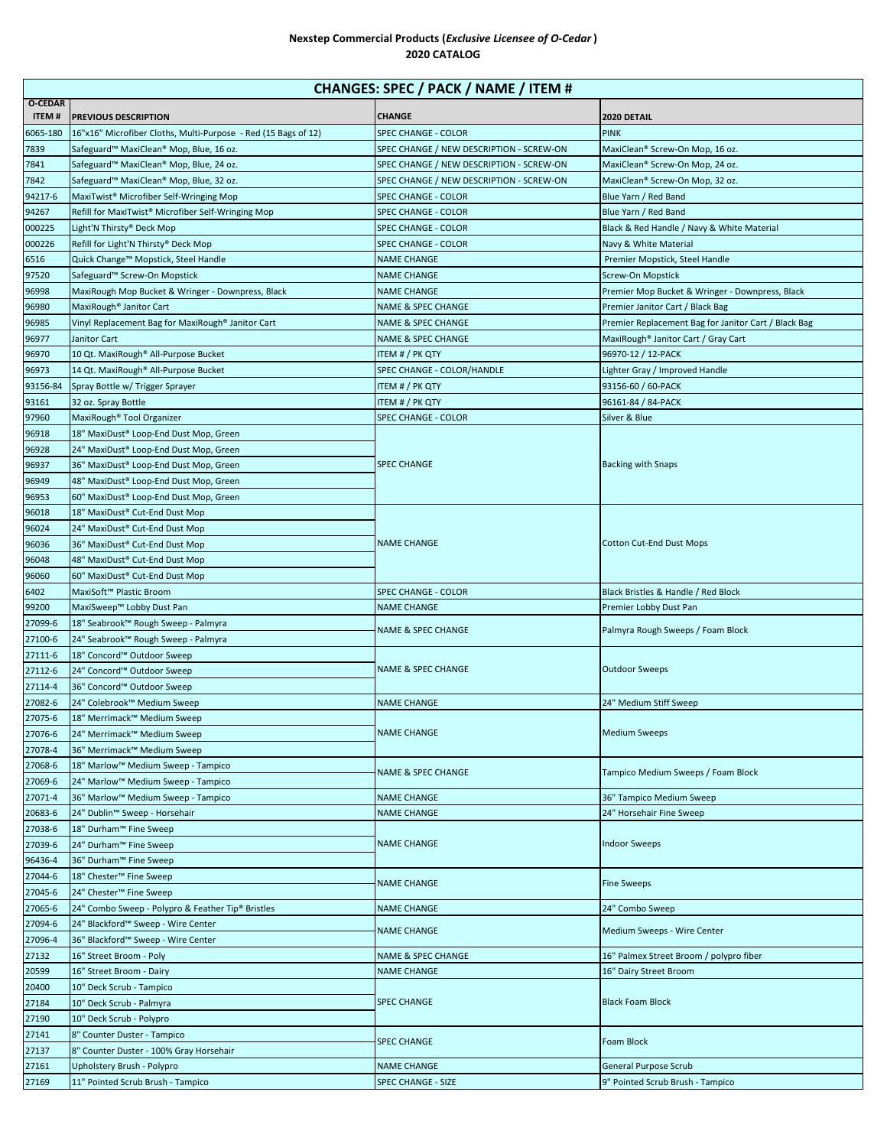## **Nexstep Commercial Products (***Exclusive Licensee of O-Cedar* **) 2020 CATALOG**

| CHANGES: SPEC / PACK / NAME / ITEM # |                                                                  |                                          |                                                      |  |  |
|--------------------------------------|------------------------------------------------------------------|------------------------------------------|------------------------------------------------------|--|--|
| <b>O-CEDAR</b><br><b>ITEM#</b>       | <b>PREVIOUS DESCRIPTION</b>                                      | <b>CHANGE</b>                            | 2020 DETAIL                                          |  |  |
| 6065-180                             | 16"x16" Microfiber Cloths, Multi-Purpose - Red (15 Bags of 12)   | SPEC CHANGE - COLOR                      | <b>PINK</b>                                          |  |  |
| 7839                                 | Safeguard™ MaxiClean® Mop, Blue, 16 oz.                          | SPEC CHANGE / NEW DESCRIPTION - SCREW-ON | MaxiClean® Screw-On Mop, 16 oz.                      |  |  |
| 7841                                 | Safeguard™ MaxiClean® Mop, Blue, 24 oz.                          | SPEC CHANGE / NEW DESCRIPTION - SCREW-ON | MaxiClean® Screw-On Mop, 24 oz.                      |  |  |
| 7842                                 | Safeguard™ MaxiClean® Mop, Blue, 32 oz.                          | SPEC CHANGE / NEW DESCRIPTION - SCREW-ON | MaxiClean® Screw-On Mop, 32 oz.                      |  |  |
| 94217-6                              | MaxiTwist <sup>®</sup> Microfiber Self-Wringing Mop              | SPEC CHANGE - COLOR                      | Blue Yarn / Red Band                                 |  |  |
| 94267                                | Refill for MaxiTwist® Microfiber Self-Wringing Mop               | SPEC CHANGE - COLOR                      | Blue Yarn / Red Band                                 |  |  |
| 000225                               | Light'N Thirsty® Deck Mop                                        | SPEC CHANGE - COLOR                      | Black & Red Handle / Navy & White Material           |  |  |
| 000226                               | Refill for Light'N Thirsty® Deck Mop                             | SPEC CHANGE - COLOR                      | Navy & White Material                                |  |  |
| 6516                                 | Quick Change™ Mopstick, Steel Handle                             | <b>NAME CHANGE</b>                       | Premier Mopstick, Steel Handle                       |  |  |
| 97520                                | Safeguard™ Screw-On Mopstick                                     | <b>NAME CHANGE</b>                       | Screw-On Mopstick                                    |  |  |
| 96998                                | MaxiRough Mop Bucket & Wringer - Downpress, Black                | <b>NAME CHANGE</b>                       | Premier Mop Bucket & Wringer - Downpress, Black      |  |  |
| 96980                                | MaxiRough <sup>®</sup> Janitor Cart                              | NAME & SPEC CHANGE                       | Premier Janitor Cart / Black Bag                     |  |  |
| 96985                                | Vinyl Replacement Bag for MaxiRough® Janitor Cart                | NAME & SPEC CHANGE                       | Premier Replacement Bag for Janitor Cart / Black Bag |  |  |
| 96977                                | Janitor Cart                                                     | <b>NAME &amp; SPEC CHANGE</b>            | MaxiRough® Janitor Cart / Gray Cart                  |  |  |
| 96970                                | 10 Qt. MaxiRough® All-Purpose Bucket                             | ITEM # / PK QTY                          | 96970-12 / 12-PACK                                   |  |  |
| 96973                                | 14 Qt. MaxiRough® All-Purpose Bucket                             | SPEC CHANGE - COLOR/HANDLE               | Lighter Gray / Improved Handle                       |  |  |
| 93156-84                             | Spray Bottle w/ Trigger Sprayer                                  | ITEM # / PK QTY                          | 93156-60 / 60-PACK                                   |  |  |
| 93161                                | 32 oz. Spray Bottle                                              | ITEM # / PK QTY                          | 96161-84 / 84-PACK                                   |  |  |
| 97960                                | MaxiRough <sup>®</sup> Tool Organizer                            | SPEC CHANGE - COLOR                      | Silver & Blue                                        |  |  |
| 96918                                | 18" MaxiDust® Loop-End Dust Mop, Green                           |                                          |                                                      |  |  |
| 96928                                | 24" MaxiDust® Loop-End Dust Mop, Green                           |                                          | <b>Backing with Snaps</b>                            |  |  |
| 96937                                | 36" MaxiDust® Loop-End Dust Mop, Green                           | <b>SPEC CHANGE</b>                       |                                                      |  |  |
| 96949                                | 48" MaxiDust® Loop-End Dust Mop, Green                           |                                          |                                                      |  |  |
| 96953                                | 60" MaxiDust® Loop-End Dust Mop, Green                           |                                          |                                                      |  |  |
| 96018                                | 18" MaxiDust® Cut-End Dust Mop                                   |                                          |                                                      |  |  |
| 96024                                | 24" MaxiDust <sup>®</sup> Cut-End Dust Mop                       | <b>NAME CHANGE</b>                       | <b>Cotton Cut-End Dust Mops</b>                      |  |  |
| 96036                                | 36" MaxiDust <sup>®</sup> Cut-End Dust Mop                       |                                          |                                                      |  |  |
| 96048<br>96060                       | 48" MaxiDust® Cut-End Dust Mop<br>60" MaxiDust® Cut-End Dust Mop |                                          |                                                      |  |  |
| 6402                                 | MaxiSoft™ Plastic Broom                                          | SPEC CHANGE - COLOR                      | Black Bristles & Handle / Red Block                  |  |  |
| 99200                                | MaxiSweep™ Lobby Dust Pan                                        | NAME CHANGE                              | Premier Lobby Dust Pan                               |  |  |
| 27099-6                              | 18" Seabrook™ Rough Sweep - Palmyra                              |                                          |                                                      |  |  |
| 27100-6                              | 24" Seabrook™ Rough Sweep - Palmyra                              | NAME & SPEC CHANGE                       | Palmyra Rough Sweeps / Foam Block                    |  |  |
| 27111-6                              | 18" Concord™ Outdoor Sweep                                       | <b>NAME &amp; SPEC CHANGE</b>            | <b>Outdoor Sweeps</b>                                |  |  |
| 27112-6                              | 24" Concord™ Outdoor Sweep                                       |                                          |                                                      |  |  |
| 27114-4                              | 36" Concord™ Outdoor Sweep                                       |                                          |                                                      |  |  |
| 27082-6                              | 24" Colebrook™ Medium Sweep                                      | <b>NAME CHANGE</b>                       | 24" Medium Stiff Sweep                               |  |  |
| 27075-6                              | 18" Merrimack™ Medium Sweep                                      |                                          |                                                      |  |  |
| 27076-6                              | 24" Merrimack™ Medium Sweep                                      | <b>NAME CHANGE</b>                       | <b>Medium Sweeps</b>                                 |  |  |
| 27078-4                              | 36" Merrimack™ Medium Sweep                                      |                                          |                                                      |  |  |
| 27068-6                              | 18" Marlow™ Medium Sweep - Tampico                               |                                          |                                                      |  |  |
| 27069-6                              | 24" Marlow™ Medium Sweep - Tampico                               | NAME & SPEC CHANGE                       | Tampico Medium Sweeps / Foam Block                   |  |  |
| 27071-4                              | 36" Marlow™ Medium Sweep - Tampico                               | <b>NAME CHANGE</b>                       | 36" Tampico Medium Sweep                             |  |  |
| 20683-6                              | 24" Dublin™ Sweep - Horsehair                                    | NAME CHANGE                              | 24" Horsehair Fine Sweep                             |  |  |
| 27038-6                              | 18" Durham™ Fine Sweep                                           | <b>NAME CHANGE</b>                       | <b>Indoor Sweeps</b>                                 |  |  |
| 27039-6                              | 24" Durham™ Fine Sweep                                           |                                          |                                                      |  |  |
| 96436-4                              | 36" Durham™ Fine Sweep                                           |                                          |                                                      |  |  |
| 27044-6                              | 18" Chester™ Fine Sweep                                          | NAME CHANGE                              | <b>Fine Sweeps</b>                                   |  |  |
| 27045-6                              | 24" Chester™ Fine Sweep                                          |                                          |                                                      |  |  |
| 27065-6                              | 24" Combo Sweep - Polypro & Feather Tip® Bristles                | NAME CHANGE                              | 24" Combo Sweep                                      |  |  |
| 27094-6                              | 24" Blackford™ Sweep - Wire Center                               | NAME CHANGE                              | Medium Sweeps - Wire Center                          |  |  |
| 27096-4                              | 36" Blackford™ Sweep - Wire Center                               |                                          |                                                      |  |  |
| 27132                                | 16" Street Broom - Poly                                          | NAME & SPEC CHANGE                       | 16" Palmex Street Broom / polypro fiber              |  |  |
| 20599                                | 16" Street Broom - Dairy                                         | <b>NAME CHANGE</b>                       | 16" Dairy Street Broom                               |  |  |
| 20400                                | 10" Deck Scrub - Tampico                                         |                                          |                                                      |  |  |
| 27184                                | 10" Deck Scrub - Palmyra                                         | <b>SPEC CHANGE</b>                       | <b>Black Foam Block</b>                              |  |  |
| 27190                                | 10" Deck Scrub - Polypro                                         |                                          |                                                      |  |  |
| 27141                                | 8" Counter Duster - Tampico                                      | <b>SPEC CHANGE</b>                       | Foam Block                                           |  |  |
| 27137                                | 8" Counter Duster - 100% Gray Horsehair                          |                                          |                                                      |  |  |
| 27161                                | Upholstery Brush - Polypro                                       | <b>NAME CHANGE</b>                       | General Purpose Scrub                                |  |  |
| 27169                                | 11" Pointed Scrub Brush - Tampico                                | <b>SPEC CHANGE - SIZE</b>                | 9" Pointed Scrub Brush - Tampico                     |  |  |